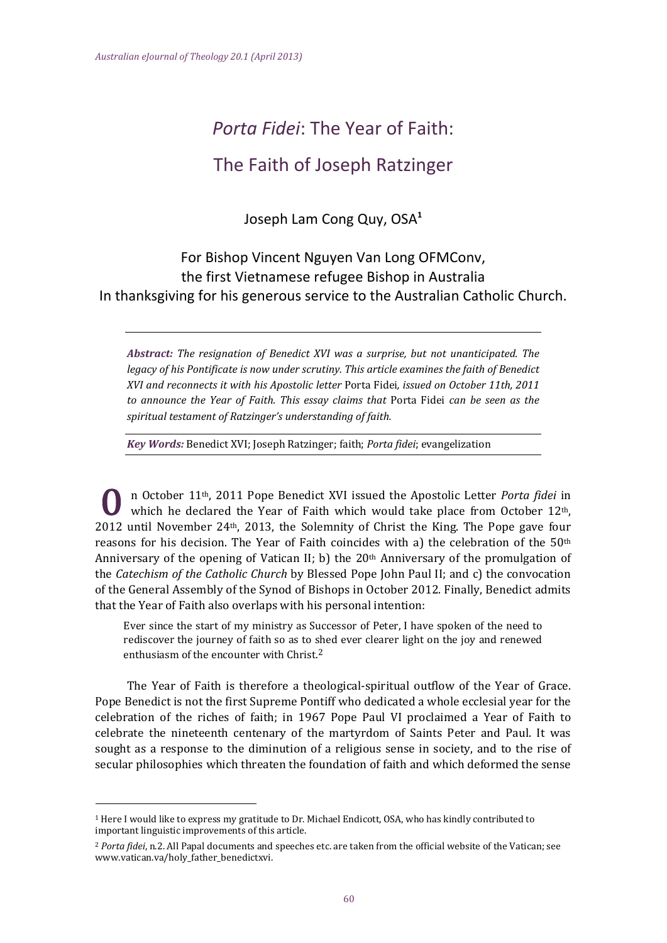# *Porta Fidei*: The Year of Faith:

## The Faith of Joseph Ratzinger

Joseph Lam Cong Quy, OSA**<sup>1</sup>**

## For Bishop Vincent Nguyen Van Long OFMConv, the first Vietnamese refugee Bishop in Australia In thanksgiving for his generous service to the Australian Catholic Church.

*Abstract: The resignation of Benedict XVI was a surprise, but not unanticipated. The legacy of his Pontificate is now under scrutiny. This article examines the faith of Benedict XVI and reconnects it with his Apostolic letter* Porta Fidei*, issued on October 11th, 2011 to announce the Year of Faith. This essay claims that* Porta Fidei *can be seen as the spiritual testament of Ratzinger's understanding of faith.* 

*Key Words:* Benedict XVI; Joseph Ratzinger; faith; *Porta fidei*; evangelization

n October 11th, 2011 Pope Benedict XVI issued the Apostolic Letter *Porta fidei* in which he declared the Year of Faith which would take place from October  $12<sup>th</sup>$ , 2012 until November  $24<sup>th</sup>$ , 2013, the Solemnity of Christ the King. The Pope gave four reasons for his decision. The Year of Faith coincides with a) the celebration of the  $50<sup>th</sup>$ Anniversary of the opening of Vatican II; b) the  $20<sup>th</sup>$  Anniversary of the promulgation of the *Catechism of the Catholic Church* by Blessed Pope John Paul II; and c) the convocation of the General Assembly of the Synod of Bishops in October 2012. Finally, Benedict admits that the Year of Faith also overlaps with his personal intention:

Ever since the start of my ministry as Successor of Peter, I have spoken of the need to rediscover the journey of faith so as to shed ever clearer light on the joy and renewed enthusiasm of the encounter with  $Christ.2$ 

The Year of Faith is therefore a theological-spiritual outflow of the Year of Grace. Pope Benedict is not the first Supreme Pontiff who dedicated a whole ecclesial year for the celebration of the riches of faith; in 1967 Pope Paul VI proclaimed a Year of Faith to celebrate the nineteenth centenary of the martyrdom of Saints Peter and Paul. It was sought as a response to the diminution of a religious sense in society, and to the rise of secular philosophies which threaten the foundation of faith and which deformed the sense

<sup>&</sup>lt;sup>1</sup> Here I would like to express my gratitude to Dr. Michael Endicott, OSA, who has kindly contributed to important linguistic improvements of this article.

<sup>&</sup>lt;sup>2</sup> *Porta fidei*, n.2. All Papal documents and speeches etc. are taken from the official website of the Vatican: see www.vatican.va/holy\_father\_benedictxvi.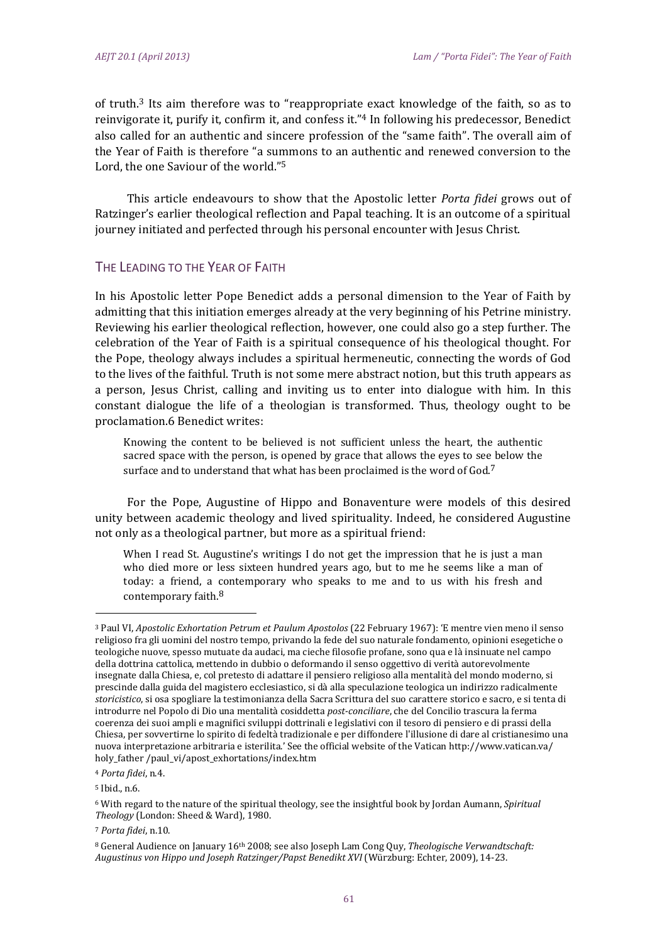of truth.<sup>3</sup> Its aim therefore was to "reappropriate exact knowledge of the faith, so as to reinvigorate it, purify it, confirm it, and confess it."<sup>4</sup> In following his predecessor, Benedict also called for an authentic and sincere profession of the "same faith". The overall aim of the Year of Faith is therefore "a summons to an authentic and renewed conversion to the Lord, the one Saviour of the world."<sup>5</sup>

This article endeavours to show that the Apostolic letter *Porta fidei* grows out of Ratzinger's earlier theological reflection and Papal teaching. It is an outcome of a spiritual journey initiated and perfected through his personal encounter with Jesus Christ.

#### THE LEADING TO THE YEAR OF FAITH

In his Apostolic letter Pope Benedict adds a personal dimension to the Year of Faith by admitting that this initiation emerges already at the very beginning of his Petrine ministry. Reviewing his earlier theological reflection, however, one could also go a step further. The celebration of the Year of Faith is a spiritual consequence of his theological thought. For the Pope, theology always includes a spiritual hermeneutic, connecting the words of God to the lives of the faithful. Truth is not some mere abstract notion, but this truth appears as a person, Jesus Christ, calling and inviting us to enter into dialogue with him. In this constant dialogue the life of a theologian is transformed. Thus, theology ought to be proclamation.6 Benedict writes:

Knowing the content to be believed is not sufficient unless the heart, the authentic sacred space with the person, is opened by grace that allows the eyes to see below the surface and to understand that what has been proclaimed is the word of God.<sup>7</sup>

For the Pope, Augustine of Hippo and Bonaventure were models of this desired unity between academic theology and lived spirituality. Indeed, he considered Augustine not only as a theological partner, but more as a spiritual friend:

When I read St. Augustine's writings I do not get the impression that he is just a man who died more or less sixteen hundred years ago, but to me he seems like a man of today: a friend, a contemporary who speaks to me and to us with his fresh and contemporary faith. $8$ 

 

<sup>5</sup> Ibid., n.6.

<sup>3</sup> Paul VI, *Apostolic Exhortation Petrum et Paulum Apostolos* (22 February 1967): 'E mentre vien meno il senso religioso fra gli uomini del nostro tempo, privando la fede del suo naturale fondamento, opinioni esegetiche o teologiche nuove, spesso mutuate da audaci, ma cieche filosofie profane, sono qua e là insinuate nel campo della dottrina cattolica, mettendo in dubbio o deformando il senso oggettivo di verità autorevolmente insegnate dalla Chiesa, e, col pretesto di adattare il pensiero religioso alla mentalità del mondo moderno, si prescinde dalla guida del magistero ecclesiastico, si dà alla speculazione teologica un indirizzo radicalmente storicistico, si osa spogliare la testimonianza della Sacra Scrittura del suo carattere storico e sacro, e si tenta di introdurre nel Popolo di Dio una mentalità cosiddetta post-conciliare, che del Concilio trascura la ferma coerenza dei suoi ampli e magnifici sviluppi dottrinali e legislativi con il tesoro di pensiero e di prassi della Chiesa, per sovvertirne lo spirito di fedeltà tradizionale e per diffondere l'illusione di dare al cristianesimo una nuova interpretazione arbitraria e isterilita.' See the official website of the Vatican http://www.vatican.va/ holy\_father /paul\_vi/apost\_exhortations/index.htm 

<sup>4</sup> *Porta fidei*, n.4. 

<sup>&</sup>lt;sup>6</sup> With regard to the nature of the spiritual theology, see the insightful book by Jordan Aumann, *Spiritual* Theology (London: Sheed & Ward), 1980.

<sup>7</sup> *Porta fidei*, n.10. 

<sup>&</sup>lt;sup>8</sup> General Audience on January 16<sup>th</sup> 2008; see also Joseph Lam Cong Ouy, *Theologische Verwandtschaft: Augustinus von Hippo und Joseph Ratzinger/Papst Benedikt XVI* (Würzburg: Echter, 2009), 14‐23.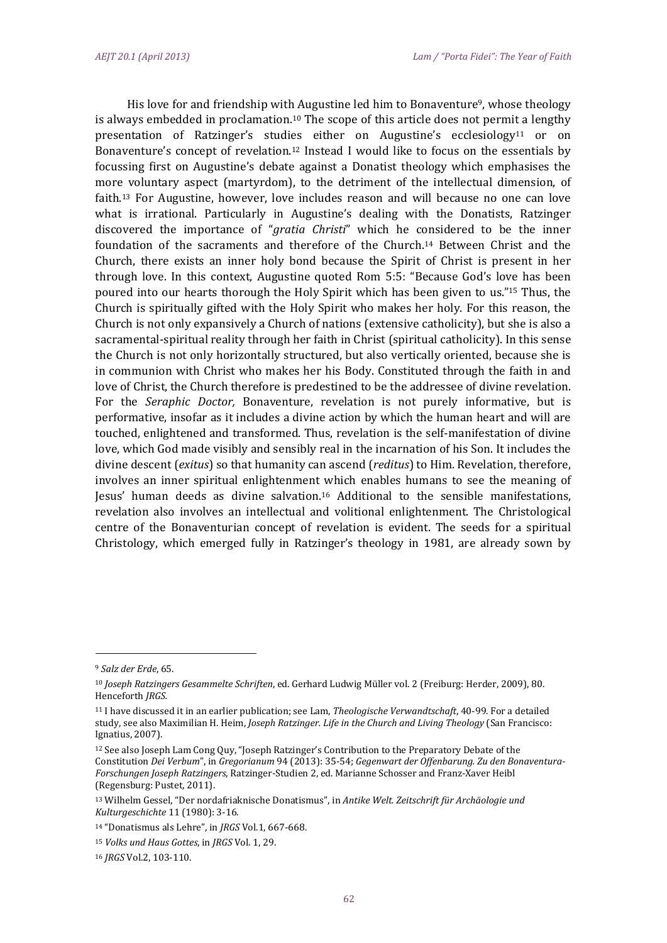His love for and friendship with Augustine led him to Bonaventure<sup>9</sup>, whose theology is always embedded in proclamation.<sup>10</sup> The scope of this article does not permit a lengthy presentation of Ratzinger's studies either on Augustine's ecclesiology<sup>11</sup> or on Bonaventure's concept of revelation.<sup>12</sup> Instead I would like to focus on the essentials by focussing first on Augustine's debate against a Donatist theology which emphasises the more voluntary aspect (martyrdom), to the detriment of the intellectual dimension, of faith.<sup>13</sup> For Augustine, however, love includes reason and will because no one can love what is irrational. Particularly in Augustine's dealing with the Donatists, Ratzinger discovered the importance of "*gratia Christi*" which he considered to be the inner foundation of the sacraments and therefore of the Church.<sup>14</sup> Between Christ and the Church, there exists an inner holy bond because the Spirit of Christ is present in her through love. In this context, Augustine quoted Rom 5:5: "Because God's love has been poured into our hearts thorough the Holy Spirit which has been given to us."<sup>15</sup> Thus, the Church is spiritually gifted with the Holy Spirit who makes her holy. For this reason, the Church is not only expansively a Church of nations (extensive catholicity), but she is also a sacramental-spiritual reality through her faith in Christ (spiritual catholicity). In this sense the Church is not only horizontally structured, but also vertically oriented, because she is in communion with Christ who makes her his Body. Constituted through the faith in and love of Christ, the Church therefore is predestined to be the addressee of divine revelation. For the *Seraphic Doctor*, Bonaventure, revelation is not purely informative, but is performative, insofar as it includes a divine action by which the human heart and will are touched, enlightened and transformed. Thus, revelation is the self-manifestation of divine love, which God made visibly and sensibly real in the incarnation of his Son. It includes the divine descent *(exitus)* so that humanity can ascend *(reditus)* to Him. Revelation, therefore, involves an inner spiritual enlightenment which enables humans to see the meaning of Jesus' human deeds as divine salvation.<sup>16</sup> Additional to the sensible manifestations, revelation also involves an intellectual and volitional enlightenment. The Christological centre of the Bonaventurian concept of revelation is evident. The seeds for a spiritual Christology, which emerged fully in Ratzinger's theology in 1981, are already sown by

<sup>&</sup>lt;sup>9</sup> Salz der Erde, 65.

<sup>10</sup> *Joseph Ratzingers Gesammelte Schriften*, ed. Gerhard Ludwig Müller vol. 2 (Freiburg: Herder, 2009), 80. Henceforth *JRGS.*

<sup>&</sup>lt;sup>11</sup> I have discussed it in an earlier publication; see Lam, *Theologische Verwandtschaft*, 40-99. For a detailed study, see also Maximilian H. Heim, *Joseph Ratzinger. Life in the Church and Living Theology* (San Francisco: Ignatius, 2007).

<sup>&</sup>lt;sup>12</sup> See also Joseph Lam Cong Quy, "Joseph Ratzinger's Contribution to the Preparatory Debate of the Constitution *Dei Verbum*", in *Gregorianum* 94 (2013): 35‐54; *Gegenwart der Offenbarung. Zu den Bonaventura‐ Forschungen Joseph Ratzingers*, Ratzinger‐Studien 2, ed. Marianne Schosser and Franz‐Xaver Heibl (Regensburg: Pustet, 2011).

<sup>13</sup> Wilhelm Gessel, "Der nordafriaknische Donatismus", in *Antike Welt. Zeitschrift für Archäologie und Kulturgeschichte* 11 (1980): 3-16.

<sup>14 &</sup>quot;Donatismus als Lehre", in *JRGS* Vol.1, 667-668.

<sup>15</sup> *Volks und Haus Gottes*, in *JRGS* Vol. 1, 29. 

<sup>16</sup> *JRGS* Vol.2, 103-110.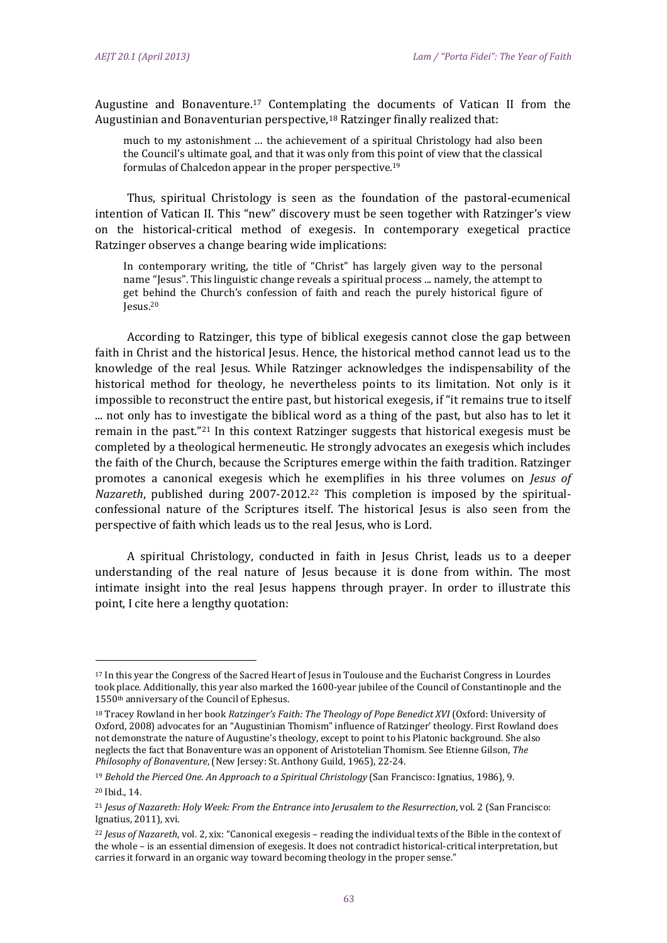Augustine and Bonaventure.<sup>17</sup> Contemplating the documents of Vatican II from the Augustinian and Bonaventurian perspective.<sup>18</sup> Ratzinger finally realized that:

much to my astonishment ... the achievement of a spiritual Christology had also been the Council's ultimate goal, and that it was only from this point of view that the classical formulas of Chalcedon appear in the proper perspective.<sup>19</sup>

Thus, spiritual Christology is seen as the foundation of the pastoral-ecumenical intention of Vatican II. This "new" discovery must be seen together with Ratzinger's view on the historical-critical method of exegesis. In contemporary exegetical practice Ratzinger observes a change bearing wide implications:

In contemporary writing, the title of "Christ" has largely given way to the personal name "Jesus". This linguistic change reveals a spiritual process ... namely, the attempt to get behind the Church's confession of faith and reach the purely historical figure of Jesus.20 

According to Ratzinger, this type of biblical exegesis cannot close the gap between faith in Christ and the historical Jesus. Hence, the historical method cannot lead us to the knowledge of the real Jesus. While Ratzinger acknowledges the indispensability of the historical method for theology, he nevertheless points to its limitation. Not only is it impossible to reconstruct the entire past, but historical exegesis, if "it remains true to itself ... not only has to investigate the biblical word as a thing of the past, but also has to let it remain in the past."<sup>21</sup> In this context Ratzinger suggests that historical exegesis must be completed by a theological hermeneutic. He strongly advocates an exegesis which includes the faith of the Church, because the Scriptures emerge within the faith tradition. Ratzinger promotes a canonical exegesis which he exemplifies in his three volumes on *Jesus of Nazareth*, published during 2007-2012.<sup>22</sup> This completion is imposed by the spiritualconfessional nature of the Scriptures itself. The historical Jesus is also seen from the perspective of faith which leads us to the real Jesus, who is Lord.

A spiritual Christology, conducted in faith in Jesus Christ, leads us to a deeper understanding of the real nature of lesus because it is done from within. The most intimate insight into the real Jesus happens through prayer. In order to illustrate this point, I cite here a lengthy quotation:

<sup>&</sup>lt;sup>17</sup> In this year the Congress of the Sacred Heart of Jesus in Toulouse and the Eucharist Congress in Lourdes took place. Additionally, this year also marked the 1600-year jubilee of the Council of Constantinople and the 1550<sup>th</sup> anniversary of the Council of Ephesus.

<sup>&</sup>lt;sup>18</sup> Tracey Rowland in her book *Ratzinger's Faith: The Theology of Pope Benedict XVI* (Oxford: University of Oxford, 2008) advocates for an "Augustinian Thomism" influence of Ratzinger' theology. First Rowland does not demonstrate the nature of Augustine's theology, except to point to his Platonic background. She also neglects the fact that Bonaventure was an opponent of Aristotelian Thomism. See Etienne Gilson, The *Philosophy of Bonaventure*, (New Jersey: St. Anthony Guild, 1965), 22-24.

<sup>19</sup> *Behold the Pierced One. An Approach to a Spiritual Christology* (San Francisco: Ignatius, 1986), 9. 

<sup>20</sup> Ibid., 14. 

<sup>21</sup> *Jesus of Nazareth: Holy Week: From the Entrance into Jerusalem to the Resurrection*, vol. 2 (San Francisco: Ignatius, 2011), xvi.

<sup>&</sup>lt;sup>22</sup> *Jesus of Nazareth*, vol. 2, xix: "Canonical exegesis – reading the individual texts of the Bible in the context of the whole – is an essential dimension of exegesis. It does not contradict historical-critical interpretation, but carries it forward in an organic way toward becoming theology in the proper sense."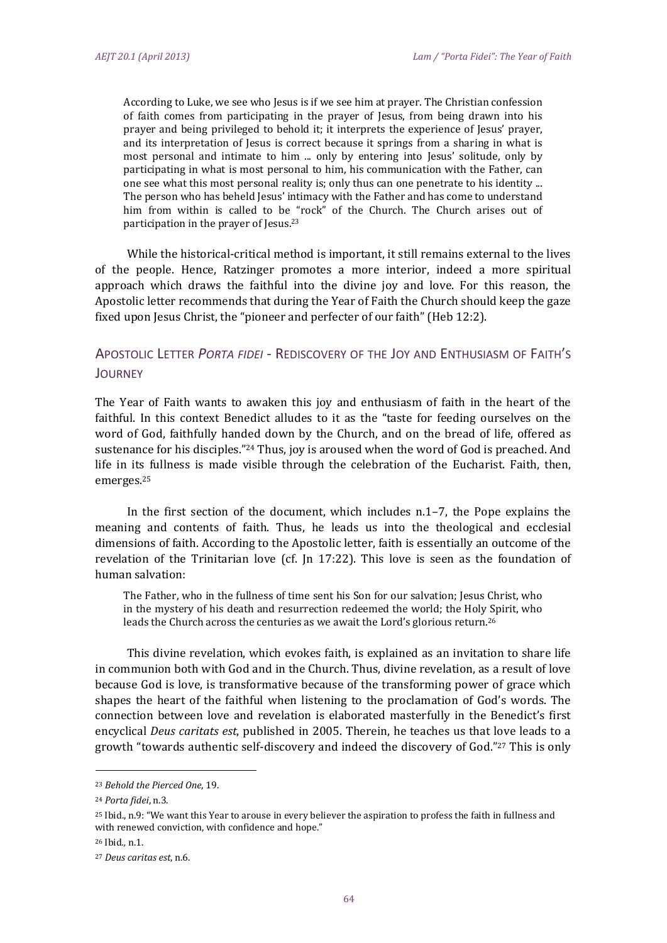According to Luke, we see who Jesus is if we see him at prayer. The Christian confession of faith comes from participating in the prayer of Jesus, from being drawn into his prayer and being privileged to behold it; it interprets the experience of Jesus' prayer, and its interpretation of Jesus is correct because it springs from a sharing in what is most personal and intimate to him ... only by entering into Jesus' solitude, only by participating in what is most personal to him, his communication with the Father, can one see what this most personal reality is; only thus can one penetrate to his identity ... The person who has beheld Jesus' intimacy with the Father and has come to understand him from within is called to be "rock" of the Church. The Church arises out of participation in the prayer of Jesus.<sup>23</sup>

While the historical-critical method is important, it still remains external to the lives of the people. Hence, Ratzinger promotes a more interior, indeed a more spiritual approach which draws the faithful into the divine joy and love. For this reason, the Apostolic letter recommends that during the Year of Faith the Church should keep the gaze fixed upon Jesus Christ, the "pioneer and perfecter of our faith" (Heb 12:2).

## APOSTOLIC LETTER *PORTA FIDEI* ‐ REDISCOVERY OF THE JOY AND ENTHUSIASM OF FAITH'S **JOURNEY**

The Year of Faith wants to awaken this joy and enthusiasm of faith in the heart of the faithful. In this context Benedict alludes to it as the "taste for feeding ourselves on the word of God, faithfully handed down by the Church, and on the bread of life, offered as sustenance for his disciples."<sup>24</sup> Thus, joy is aroused when the word of God is preached. And life in its fullness is made visible through the celebration of the Eucharist. Faith, then, emerges.25

In the first section of the document, which includes  $n.1-7$ , the Pope explains the meaning and contents of faith. Thus, he leads us into the theological and ecclesial dimensions of faith. According to the Apostolic letter, faith is essentially an outcome of the revelation of the Trinitarian love (cf.  $\ln 17:22$ ). This love is seen as the foundation of human salvation:

The Father, who in the fullness of time sent his Son for our salvation; Jesus Christ, who in the mystery of his death and resurrection redeemed the world; the Holy Spirit, who leads the Church across the centuries as we await the Lord's glorious return.<sup>26</sup>

This divine revelation, which evokes faith, is explained as an invitation to share life in communion both with God and in the Church. Thus, divine revelation, as a result of love because God is love, is transformative because of the transforming power of grace which shapes the heart of the faithful when listening to the proclamation of God's words. The connection between love and revelation is elaborated masterfully in the Benedict's first encyclical *Deus caritats est*, published in 2005. Therein, he teaches us that love leads to a growth "towards authentic self-discovery and indeed the discovery of God."<sup>27</sup> This is only

<sup>23</sup> *Behold the Pierced One*, 19. 

<sup>&</sup>lt;sup>24</sup> Porta fidei, n.3.

<sup>&</sup>lt;sup>25</sup> Ibid., n.9: "We want this Year to arouse in every believer the aspiration to profess the faith in fullness and with renewed conviction, with confidence and hope."

<sup>26</sup> Ihid n.1.

<sup>27</sup> *Deus caritas est*, n.6.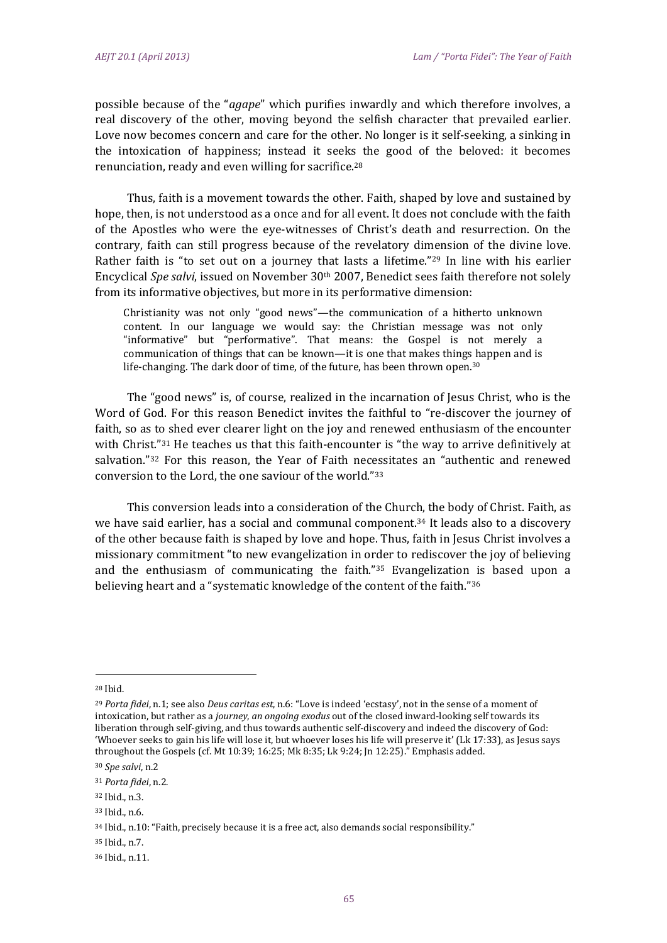possible because of the "*agape*" which purifies inwardly and which therefore involves, a real discovery of the other, moving beyond the selfish character that prevailed earlier. Love now becomes concern and care for the other. No longer is it self-seeking, a sinking in the intoxication of happiness; instead it seeks the good of the beloved: it becomes renunciation, ready and even willing for sacrifice.<sup>28</sup>

Thus, faith is a movement towards the other. Faith, shaped by love and sustained by hope, then, is not understood as a once and for all event. It does not conclude with the faith of the Apostles who were the eye-witnesses of Christ's death and resurrection. On the contrary, faith can still progress because of the revelatory dimension of the divine love. Rather faith is "to set out on a journey that lasts a lifetime."<sup>29</sup> In line with his earlier Encyclical *Spe* salvi, issued on November 30<sup>th</sup> 2007, Benedict sees faith therefore not solely from its informative objectives, but more in its performative dimension:

Christianity was not only "good news"—the communication of a hitherto unknown content. In our language we would say: the Christian message was not only "informative" but "performative". That means: the Gospel is not merely a communication of things that can be known—it is one that makes things happen and is life-changing. The dark door of time, of the future, has been thrown open.<sup>30</sup>

The "good news" is, of course, realized in the incarnation of Jesus Christ, who is the Word of God. For this reason Benedict invites the faithful to "re-discover the journey of faith, so as to shed ever clearer light on the joy and renewed enthusiasm of the encounter with Christ." $31$  He teaches us that this faith-encounter is "the way to arrive definitively at salvation."<sup>32</sup> For this reason, the Year of Faith necessitates an "authentic and renewed conversion to the Lord, the one saviour of the world."33

This conversion leads into a consideration of the Church, the body of Christ. Faith, as we have said earlier, has a social and communal component.<sup>34</sup> It leads also to a discovery of the other because faith is shaped by love and hope. Thus, faith in Jesus Christ involves a missionary commitment "to new evangelization in order to rediscover the joy of believing and the enthusiasm of communicating the faith." $35$  Evangelization is based upon a believing heart and a "systematic knowledge of the content of the faith."<sup>36</sup>

<sup>28</sup> Ibid. 

<sup>&</sup>lt;sup>29</sup> *Porta fidei*, n.1; see also *Deus caritas est*, n.6: "Love is indeed 'ecstasy', not in the sense of a moment of intoxication, but rather as a *journey*, an ongoing exodus out of the closed inward-looking self towards its liberation through self-giving, and thus towards authentic self-discovery and indeed the discovery of God: 'Whoever seeks to gain his life will lose it, but whoever loses his life will preserve it' (Lk 17:33), as Jesus says throughout the Gospels (cf. Mt 10:39; 16:25; Mk 8:35; Lk 9:24; Jn 12:25)." Emphasis added.

<sup>30</sup> *Spe salvi*, n.2 

<sup>31</sup> *Porta fidei*, n.2. 

<sup>&</sup>lt;sup>32</sup> Ibid., n.3.

<sup>33</sup> Ibid., n.6.

<sup>34</sup> Ibid., n.10: "Faith, precisely because it is a free act, also demands social responsibility."

<sup>35</sup> Ibid., n.7.

<sup>36</sup> Ibid., n.11.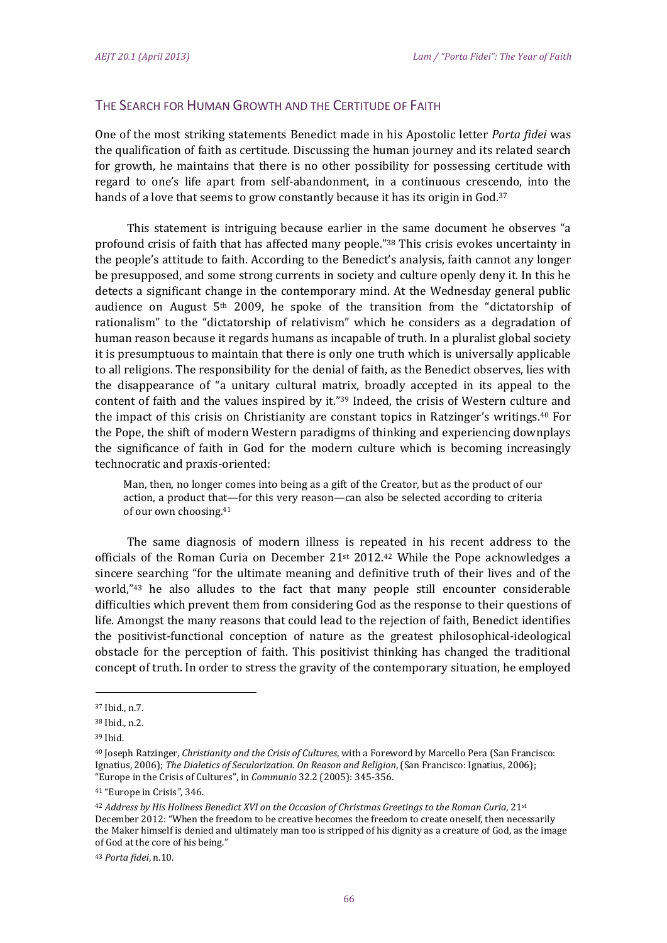### THE SEARCH FOR HUMAN GROWTH AND THE CERTITUDE OF FAITH

One of the most striking statements Benedict made in his Apostolic letter *Porta fidei* was the qualification of faith as certitude. Discussing the human journey and its related search for growth, he maintains that there is no other possibility for possessing certitude with regard to one's life apart from self-abandonment, in a continuous crescendo, into the hands of a love that seems to grow constantly because it has its origin in God.<sup>37</sup>

This statement is intriguing because earlier in the same document he observes "a profound crisis of faith that has affected many people."38 This crisis evokes uncertainty in the people's attitude to faith. According to the Benedict's analysis, faith cannot any longer be presupposed, and some strong currents in society and culture openly deny it. In this he detects a significant change in the contemporary mind. At the Wednesday general public audience on August  $5<sup>th</sup>$  2009, he spoke of the transition from the "dictatorship of rationalism" to the "dictatorship of relativism" which he considers as a degradation of human reason because it regards humans as incapable of truth. In a pluralist global society it is presumptuous to maintain that there is only one truth which is universally applicable to all religions. The responsibility for the denial of faith, as the Benedict observes, lies with the disappearance of "a unitary cultural matrix, broadly accepted in its appeal to the content of faith and the values inspired by it."<sup>39</sup> Indeed, the crisis of Western culture and the impact of this crisis on Christianity are constant topics in Ratzinger's writings.<sup>40</sup> For the Pope, the shift of modern Western paradigms of thinking and experiencing downplays the significance of faith in God for the modern culture which is becoming increasingly technocratic and praxis-oriented:

Man, then, no longer comes into being as a gift of the Creator, but as the product of our action, a product that—for this very reason—can also be selected according to criteria of our own choosing.<sup>41</sup>

The same diagnosis of modern illness is repeated in his recent address to the officials of the Roman Curia on December  $21^{st}$  2012.<sup>42</sup> While the Pope acknowledges a sincere searching "for the ultimate meaning and definitive truth of their lives and of the world," $43$  he also alludes to the fact that many people still encounter considerable difficulties which prevent them from considering God as the response to their questions of life. Amongst the many reasons that could lead to the rejection of faith, Benedict identifies the positivist-functional conception of nature as the greatest philosophical-ideological obstacle for the perception of faith. This positivist thinking has changed the traditional concept of truth. In order to stress the gravity of the contemporary situation, he employed

<sup>41</sup> "Europe in Crisis", 346.

<sup>37</sup> Ibid*.*, n.7. 

<sup>38</sup> Ibid., n.2.

<sup>39</sup> Ibid. 

<sup>40</sup> Joseph Ratzinger, *Christianity and the Crisis of Cultures*, with a Foreword by Marcello Pera (San Francisco: Ignatius, 2006); The Dialetics of Secularization. On Reason and Religion, (San Francisco: Ignatius, 2006); "Europe in the Crisis of Cultures", in *Communio* 32.2 (2005): 345-356.

<sup>42</sup> *Address by His Holiness Benedict XVI on the Occasion of Christmas Greetings to the Roman Curia*, 21st December 2012: "When the freedom to be creative becomes the freedom to create oneself, then necessarily the Maker himself is denied and ultimately man too is stripped of his dignity as a creature of God, as the image of God at the core of his being."

<sup>43</sup> *Porta fidei*, n.10.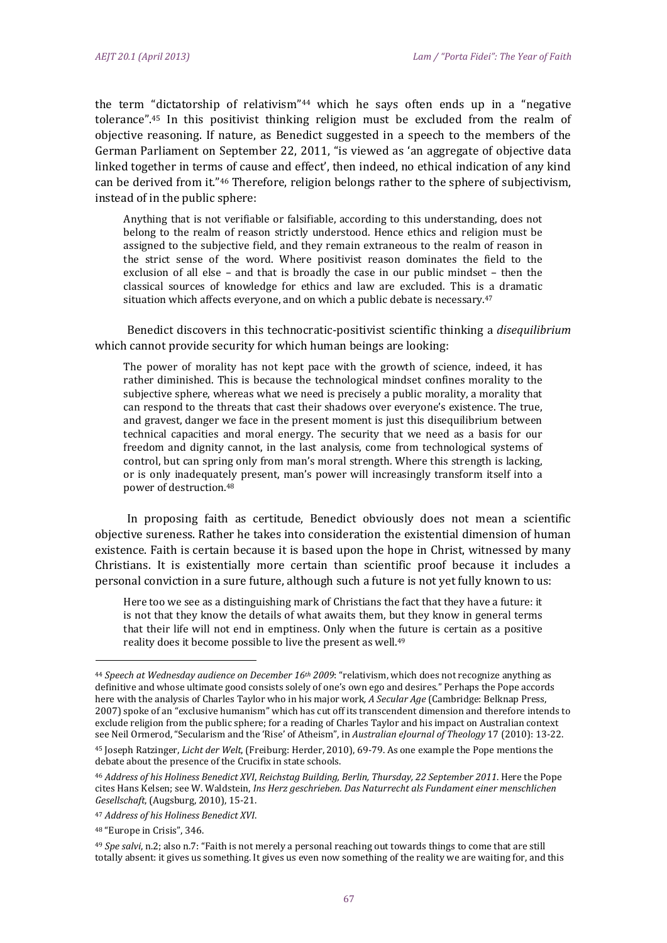the term "dictatorship of relativism"<sup>44</sup> which he says often ends up in a "negative tolerance".<sup>45</sup> In this positivist thinking religion must be excluded from the realm of objective reasoning. If nature, as Benedict suggested in a speech to the members of the German Parliament on September 22, 2011, "is viewed as 'an aggregate of objective data linked together in terms of cause and effect', then indeed, no ethical indication of any kind can be derived from it."<sup>46</sup> Therefore, religion belongs rather to the sphere of subjectivism, instead of in the public sphere:

Anything that is not verifiable or falsifiable, according to this understanding, does not belong to the realm of reason strictly understood. Hence ethics and religion must be assigned to the subjective field, and they remain extraneous to the realm of reason in the strict sense of the word. Where positivist reason dominates the field to the exclusion of all else – and that is broadly the case in our public mindset – then the classical sources of knowledge for ethics and law are excluded. This is a dramatic situation which affects everyone, and on which a public debate is necessary.<sup>47</sup>

Benedict discovers in this technocratic-positivist scientific thinking a *disequilibrium* which cannot provide security for which human beings are looking:

The power of morality has not kept pace with the growth of science, indeed, it has rather diminished. This is because the technological mindset confines morality to the subjective sphere, whereas what we need is precisely a public morality, a morality that can respond to the threats that cast their shadows over everyone's existence. The true, and gravest, danger we face in the present moment is just this disequilibrium between technical capacities and moral energy. The security that we need as a basis for our freedom and dignity cannot, in the last analysis, come from technological systems of control, but can spring only from man's moral strength. Where this strength is lacking. or is only inadequately present, man's power will increasingly transform itself into a power of destruction.<sup>48</sup>

In proposing faith as certitude, Benedict obviously does not mean a scientific objective sureness. Rather he takes into consideration the existential dimension of human existence. Faith is certain because it is based upon the hope in Christ, witnessed by many Christians. It is existentially more certain than scientific proof because it includes a personal conviction in a sure future, although such a future is not yet fully known to us:

Here too we see as a distinguishing mark of Christians the fact that they have a future: it is not that they know the details of what awaits them, but they know in general terms that their life will not end in emptiness. Only when the future is certain as a positive reality does it become possible to live the present as well.<sup>49</sup>

<sup>44</sup> *Speech at Wednesday audience on December 16th 2009*: "relativism, which does not recognize anything as definitive and whose ultimate good consists solely of one's own ego and desires." Perhaps the Pope accords here with the analysis of Charles Taylor who in his major work, *A Secular Age* (Cambridge: Belknap Press, 2007) spoke of an "exclusive humanism" which has cut off its transcendent dimension and therefore intends to exclude religion from the public sphere; for a reading of Charles Taylor and his impact on Australian context see Neil Ormerod, "Secularism and the 'Rise' of Atheism", in *Australian eJournal of Theology* 17 (2010): 13-22.

<sup>45</sup> Joseph Ratzinger, *Licht der Welt*, (Freiburg: Herder, 2010), 69-79. As one example the Pope mentions the debate about the presence of the Crucifix in state schools.

<sup>46</sup> *Address of his Holiness Benedict XVI*, *Reichstag Building, Berlin, Thursday, 22 September 2011*. Here the Pope cites Hans Kelsen; see W. Waldstein, *Ins Herz geschrieben. Das Naturrecht als Fundament einer menschlichen Gesellschaft*, (Augsburg, 2010), 15-21.

<sup>47</sup> *Address of his Holiness Benedict XVI*. 

<sup>&</sup>lt;sup>48</sup> "Europe in Crisis", 346.

<sup>&</sup>lt;sup>49</sup> *Spe salvi*, n.2; also n.7: "Faith is not merely a personal reaching out towards things to come that are still totally absent: it gives us something. It gives us even now something of the reality we are waiting for, and this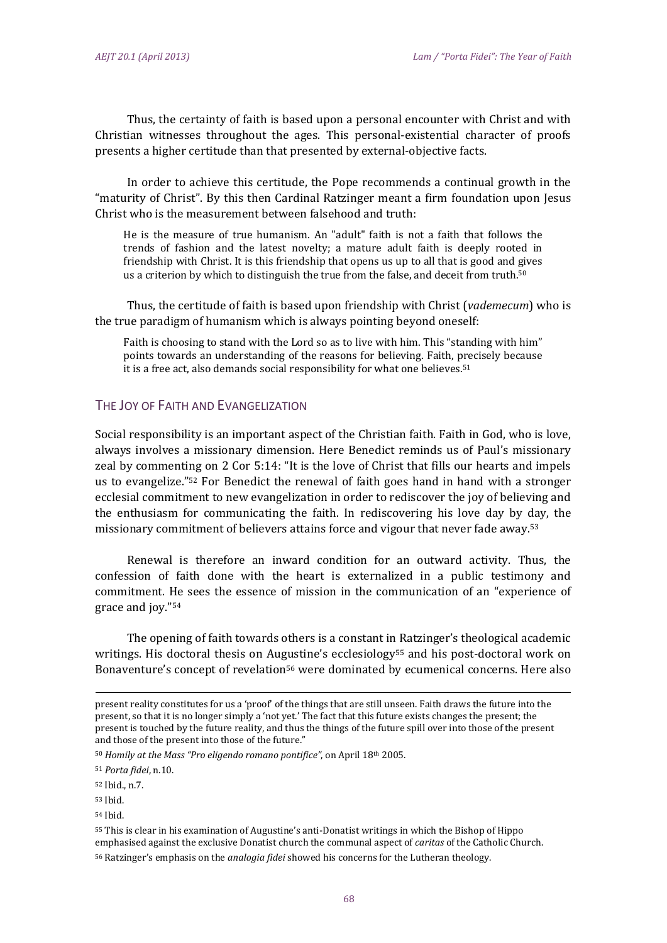Thus, the certainty of faith is based upon a personal encounter with Christ and with Christian witnesses throughout the ages. This personal-existential character of proofs presents a higher certitude than that presented by external-objective facts.

In order to achieve this certitude, the Pope recommends a continual growth in the "maturity of Christ". By this then Cardinal Ratzinger meant a firm foundation upon Jesus Christ who is the measurement between falsehood and truth:

He is the measure of true humanism. An "adult" faith is not a faith that follows the trends of fashion and the latest novelty; a mature adult faith is deeply rooted in friendship with Christ. It is this friendship that opens us up to all that is good and gives us a criterion by which to distinguish the true from the false, and deceit from truth.<sup>50</sup>

Thus, the certitude of faith is based upon friendship with Christ (*vademecum*) who is the true paradigm of humanism which is always pointing beyond oneself:

Faith is choosing to stand with the Lord so as to live with him. This "standing with him" points towards an understanding of the reasons for believing. Faith, precisely because it is a free act, also demands social responsibility for what one believes.<sup>51</sup>

## THE JOY OF FAITH AND EVANGELIZATION

Social responsibility is an important aspect of the Christian faith. Faith in God, who is love, always involves a missionary dimension. Here Benedict reminds us of Paul's missionary zeal by commenting on  $2$  Cor  $5:14$ : "It is the love of Christ that fills our hearts and impels us to evangelize."<sup>52</sup> For Benedict the renewal of faith goes hand in hand with a stronger ecclesial commitment to new evangelization in order to rediscover the joy of believing and the enthusiasm for communicating the faith. In rediscovering his love day by day, the missionary commitment of believers attains force and vigour that never fade away.<sup>53</sup>

Renewal is therefore an inward condition for an outward activity. Thus, the confession of faith done with the heart is externalized in a public testimony and commitment. He sees the essence of mission in the communication of an "experience of grace and joy."<sup>54</sup>

The opening of faith towards others is a constant in Ratzinger's theological academic writings. His doctoral thesis on Augustine's ecclesiology<sup>55</sup> and his post-doctoral work on Bonaventure's concept of revelation<sup>56</sup> were dominated by ecumenical concerns. Here also

<u> 1989 - Andrea Barbara, amerikan personal dan personal dan personal dan personal dan personal dan personal dan</u>

present reality constitutes for us a 'proof' of the things that are still unseen. Faith draws the future into the present, so that it is no longer simply a 'not yet.' The fact that this future exists changes the present; the present is touched by the future reality, and thus the things of the future spill over into those of the present and those of the present into those of the future."

<sup>50</sup> *Homily at the Mass "Pro eligendo romano pontifice"*, on April 18th 2005. 

<sup>51</sup> *Porta fidei*, n.10. 

<sup>52</sup> Ibid., n.7. 

<sup>53</sup> Ibid. 

<sup>54</sup> Ibid. 

 $55$  This is clear in his examination of Augustine's anti-Donatist writings in which the Bishop of Hippo emphasised against the exclusive Donatist church the communal aspect of *caritas* of the Catholic Church.

<sup>56</sup> Ratzinger's emphasis on the *analogia fidei* showed his concerns for the Lutheran theology.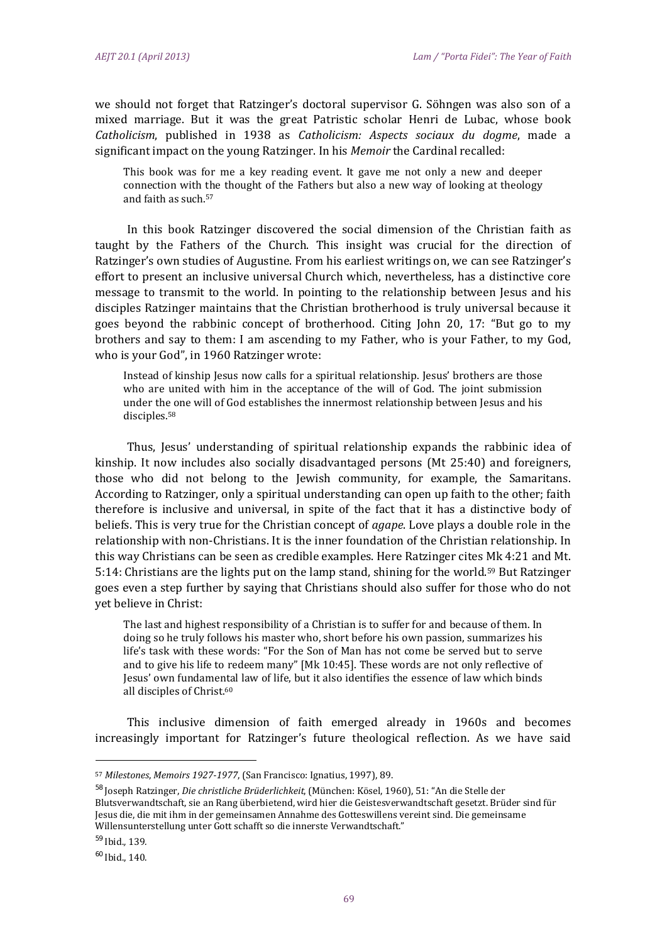we should not forget that Ratzinger's doctoral supervisor G. Söhngen was also son of a mixed marriage. But it was the great Patristic scholar Henri de Lubac, whose book *Catholicism*, published in 1938 as *Catholicism: Aspects sociaux du dogme*, made a significant impact on the young Ratzinger. In his *Memoir* the Cardinal recalled:

This book was for me a key reading event. It gave me not only a new and deeper connection with the thought of the Fathers but also a new way of looking at theology and faith as such.<sup>57</sup>

In this book Ratzinger discovered the social dimension of the Christian faith as taught by the Fathers of the Church. This insight was crucial for the direction of Ratzinger's own studies of Augustine. From his earliest writings on, we can see Ratzinger's effort to present an inclusive universal Church which, nevertheless, has a distinctive core message to transmit to the world. In pointing to the relationship between Jesus and his disciples Ratzinger maintains that the Christian brotherhood is truly universal because it goes beyond the rabbinic concept of brotherhood. Citing John 20, 17: "But go to my brothers and say to them: I am ascending to my Father, who is your Father, to my God, who is your God", in 1960 Ratzinger wrote:

Instead of kinship Jesus now calls for a spiritual relationship. Jesus' brothers are those who are united with him in the acceptance of the will of God. The joint submission under the one will of God establishes the innermost relationship between Jesus and his disciples.58 

Thus, Jesus' understanding of spiritual relationship expands the rabbinic idea of kinship. It now includes also socially disadvantaged persons  $(Mt 25:40)$  and foreigners, those who did not belong to the Jewish community, for example, the Samaritans. According to Ratzinger, only a spiritual understanding can open up faith to the other; faith therefore is inclusive and universal, in spite of the fact that it has a distinctive body of beliefs. This is very true for the Christian concept of *agape*. Love plays a double role in the relationship with non-Christians. It is the inner foundation of the Christian relationship. In this way Christians can be seen as credible examples. Here Ratzinger cites Mk 4:21 and Mt. 5:14: Christians are the lights put on the lamp stand, shining for the world.<sup>59</sup> But Ratzinger goes even a step further by saying that Christians should also suffer for those who do not yet believe in Christ:

The last and highest responsibility of a Christian is to suffer for and because of them. In doing so he truly follows his master who, short before his own passion, summarizes his life's task with these words: "For the Son of Man has not come be served but to serve and to give his life to redeem many" [Mk 10:45]. These words are not only reflective of Jesus' own fundamental law of life, but it also identifies the essence of law which binds all disciples of Christ.<sup>60</sup>

This inclusive dimension of faith emerged already in 1960s and becomes increasingly important for Ratzinger's future theological reflection. As we have said

<sup>57</sup> *Milestones*, *Memoirs 1927‐1977*, (San Francisco: Ignatius, 1997), 89. 

<sup>&</sup>lt;sup>58</sup> Joseph Ratzinger, *Die christliche Brüderlichkeit*, (München: Kösel, 1960), 51: "An die Stelle der Blutsverwandtschaft, sie an Rang überbietend, wird hier die Geistesverwandtschaft gesetzt. Brüder sind für Jesus die, die mit ihm in der gemeinsamen Annahme des Gotteswillens vereint sind. Die gemeinsame Willensunterstellung unter Gott schafft so die innerste Verwandtschaft."

<sup>59</sup> Ibid.*,* 139*.*

 $60$  Ibid., 140.